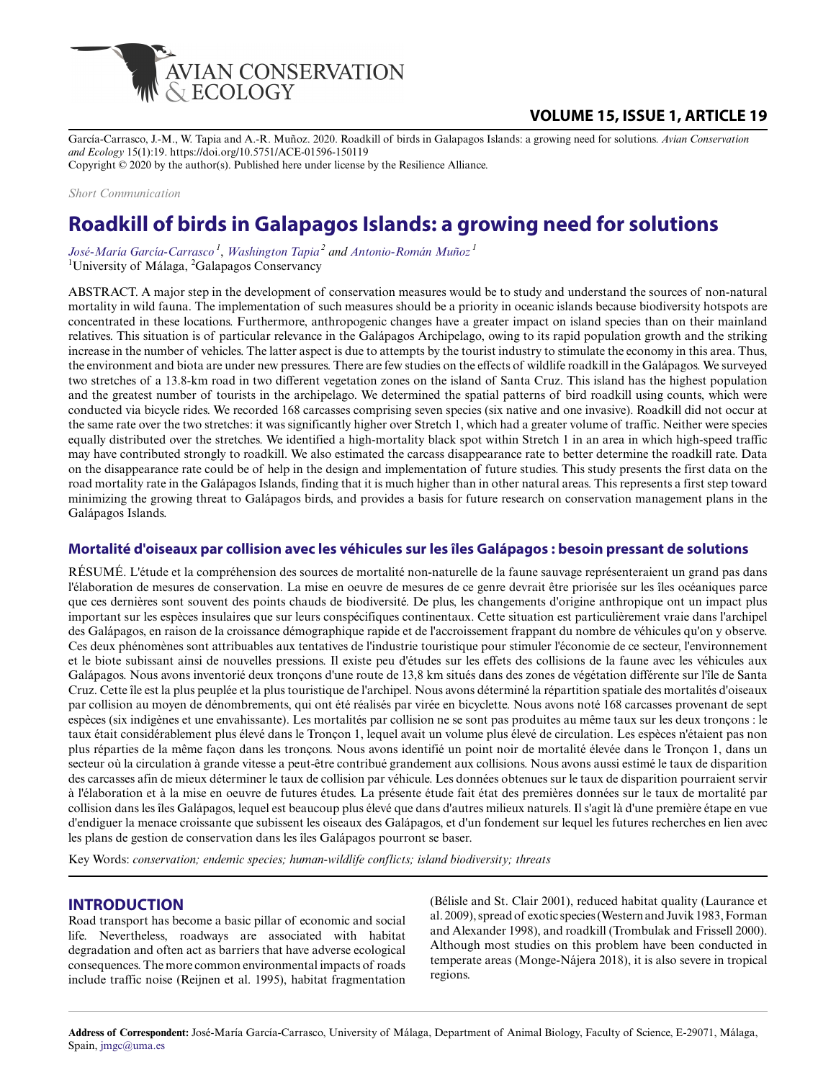

## **VOLUME 15, ISSUE 1, ARTICLE 19**

García-Carrasco, J.-M., W. Tapia and A.-R. Muñoz. 2020. Roadkill of birds in Galapagos Islands: a growing need for solutions. *Avian Conservation and Ecology* 15(1):19. https://doi.org/10.5751/ACE-01596-150119 Copyright © 2020 by the author(s). Published here under license by the Resilience Alliance.

*Short Communication*

# **Roadkill of birds in Galapagos Islands: a growing need for solutions**

*[José-María García-Carrasco](mailto:jmgc@uma.es)<sup>1</sup>* , *[Washington Tapia](mailto:wtapia@galapagos.org)<sup>2</sup> and [Antonio-Román Muñoz](mailto:roman@uma.es)<sup>1</sup>* <sup>1</sup>University of Málaga,  ${}^{2}$ Galapagos Conservancy

ABSTRACT. A major step in the development of conservation measures would be to study and understand the sources of non-natural mortality in wild fauna. The implementation of such measures should be a priority in oceanic islands because biodiversity hotspots are concentrated in these locations. Furthermore, anthropogenic changes have a greater impact on island species than on their mainland relatives. This situation is of particular relevance in the Galápagos Archipelago, owing to its rapid population growth and the striking increase in the number of vehicles. The latter aspect is due to attempts by the tourist industry to stimulate the economy in this area. Thus, the environment and biota are under new pressures. There are few studies on the effects of wildlife roadkill in the Galápagos. We surveyed two stretches of a 13.8-km road in two different vegetation zones on the island of Santa Cruz. This island has the highest population and the greatest number of tourists in the archipelago. We determined the spatial patterns of bird roadkill using counts, which were conducted via bicycle rides. We recorded 168 carcasses comprising seven species (six native and one invasive). Roadkill did not occur at the same rate over the two stretches: it was significantly higher over Stretch 1, which had a greater volume of traffic. Neither were species equally distributed over the stretches. We identified a high-mortality black spot within Stretch 1 in an area in which high-speed traffic may have contributed strongly to roadkill. We also estimated the carcass disappearance rate to better determine the roadkill rate. Data on the disappearance rate could be of help in the design and implementation of future studies. This study presents the first data on the road mortality rate in the Galápagos Islands, finding that it is much higher than in other natural areas. This represents a first step toward minimizing the growing threat to Galápagos birds, and provides a basis for future research on conservation management plans in the Galápagos Islands.

#### **Mortalité d'oiseaux par collision avec les véhicules sur les îles Galápagos : besoin pressant de solutions**

RÉSUMÉ. L'étude et la compréhension des sources de mortalité non-naturelle de la faune sauvage représenteraient un grand pas dans l'élaboration de mesures de conservation. La mise en oeuvre de mesures de ce genre devrait être priorisée sur les îles océaniques parce que ces dernières sont souvent des points chauds de biodiversité. De plus, les changements d'origine anthropique ont un impact plus important sur les espèces insulaires que sur leurs conspécifiques continentaux. Cette situation est particulièrement vraie dans l'archipel des Galápagos, en raison de la croissance démographique rapide et de l'accroissement frappant du nombre de véhicules qu'on y observe. Ces deux phénomènes sont attribuables aux tentatives de l'industrie touristique pour stimuler l'économie de ce secteur, l'environnement et le biote subissant ainsi de nouvelles pressions. Il existe peu d'études sur les effets des collisions de la faune avec les véhicules aux Galápagos. Nous avons inventorié deux tronçons d'une route de 13,8 km situés dans des zones de végétation différente sur l'île de Santa Cruz. Cette île est la plus peuplée et la plus touristique de l'archipel. Nous avons déterminé la répartition spatiale des mortalités d'oiseaux par collision au moyen de dénombrements, qui ont été réalisés par virée en bicyclette. Nous avons noté 168 carcasses provenant de sept espèces (six indigènes et une envahissante). Les mortalités par collision ne se sont pas produites au même taux sur les deux tronçons : le taux était considérablement plus élevé dans le Tronçon 1, lequel avait un volume plus élevé de circulation. Les espèces n'étaient pas non plus réparties de la même façon dans les tronçons. Nous avons identifié un point noir de mortalité élevée dans le Tronçon 1, dans un secteur où la circulation à grande vitesse a peut-être contribué grandement aux collisions. Nous avons aussi estimé le taux de disparition des carcasses afin de mieux déterminer le taux de collision par véhicule. Les données obtenues sur le taux de disparition pourraient servir à l'élaboration et à la mise en oeuvre de futures études. La présente étude fait état des premières données sur le taux de mortalité par collision dans les îles Galápagos, lequel est beaucoup plus élevé que dans d'autres milieux naturels. Il s'agit là d'une première étape en vue d'endiguer la menace croissante que subissent les oiseaux des Galápagos, et d'un fondement sur lequel les futures recherches en lien avec les plans de gestion de conservation dans les îles Galápagos pourront se baser.

Key Words: *conservation; endemic species; human-wildlife conflicts; island biodiversity; threats*

## **INTRODUCTION**

Road transport has become a basic pillar of economic and social life. Nevertheless, roadways are associated with habitat degradation and often act as barriers that have adverse ecological consequences. The more common environmental impacts of roads include traffic noise (Reijnen et al. 1995), habitat fragmentation

(Bélisle and St. Clair 2001), reduced habitat quality (Laurance et al. 2009), spread of exotic species (Western and Juvik 1983, Forman and Alexander 1998), and roadkill (Trombulak and Frissell 2000). Although most studies on this problem have been conducted in temperate areas (Monge-Nájera 2018), it is also severe in tropical regions.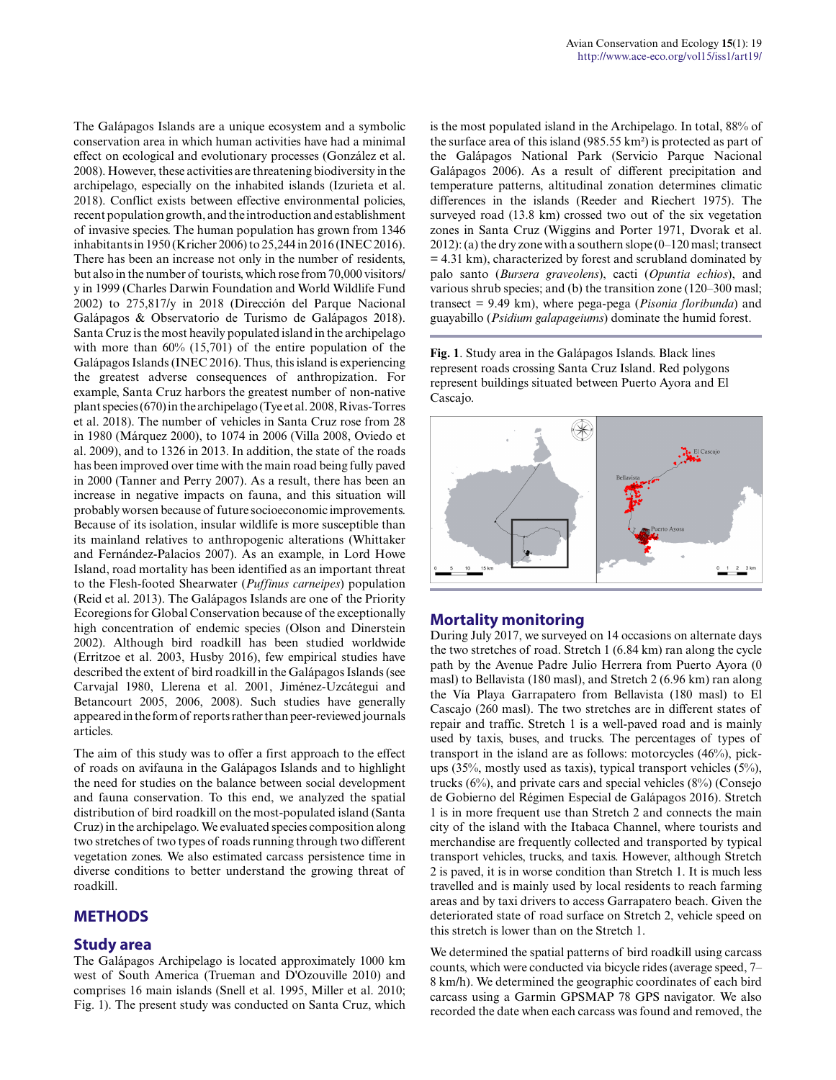The Galápagos Islands are a unique ecosystem and a symbolic conservation area in which human activities have had a minimal effect on ecological and evolutionary processes (González et al. 2008). However, these activities are threatening biodiversity in the archipelago, especially on the inhabited islands (Izurieta et al. 2018). Conflict exists between effective environmental policies, recent population growth, and the introduction and establishment of invasive species. The human population has grown from 1346 inhabitants in 1950 (Kricher 2006) to 25,244 in 2016 (INEC 2016). There has been an increase not only in the number of residents, but also in the number of tourists, which rose from 70,000 visitors/ y in 1999 (Charles Darwin Foundation and World Wildlife Fund 2002) to 275,817/y in 2018 (Dirección del Parque Nacional Galápagos & Observatorio de Turismo de Galápagos 2018). Santa Cruz is the most heavily populated island in the archipelago with more than 60% (15,701) of the entire population of the Galápagos Islands (INEC 2016). Thus, this island is experiencing the greatest adverse consequences of anthropization. For example, Santa Cruz harbors the greatest number of non-native plant species (670) in the archipelago (Tye et al. 2008, Rivas-Torres et al. 2018). The number of vehicles in Santa Cruz rose from 28 in 1980 (Márquez 2000), to 1074 in 2006 (Villa 2008, Oviedo et al. 2009), and to 1326 in 2013. In addition, the state of the roads has been improved over time with the main road being fully paved in 2000 (Tanner and Perry 2007). As a result, there has been an increase in negative impacts on fauna, and this situation will probably worsen because of future socioeconomic improvements. Because of its isolation, insular wildlife is more susceptible than its mainland relatives to anthropogenic alterations (Whittaker and Fernández-Palacios 2007). As an example, in Lord Howe Island, road mortality has been identified as an important threat to the Flesh-footed Shearwater (*Puffinus carneipes*) population (Reid et al. 2013). The Galápagos Islands are one of the Priority Ecoregions for Global Conservation because of the exceptionally high concentration of endemic species (Olson and Dinerstein 2002). Although bird roadkill has been studied worldwide (Erritzoe et al. 2003, Husby 2016), few empirical studies have described the extent of bird roadkill in the Galápagos Islands (see Carvajal 1980, Llerena et al. 2001, Jiménez-Uzcátegui and Betancourt 2005, 2006, 2008). Such studies have generally appeared in the form of reports rather than peer-reviewed journals articles.

The aim of this study was to offer a first approach to the effect of roads on avifauna in the Galápagos Islands and to highlight the need for studies on the balance between social development and fauna conservation. To this end, we analyzed the spatial distribution of bird roadkill on the most-populated island (Santa Cruz) in the archipelago. We evaluated species composition along two stretches of two types of roads running through two different vegetation zones. We also estimated carcass persistence time in diverse conditions to better understand the growing threat of roadkill.

## **METHODS**

#### **Study area**

The Galápagos Archipelago is located approximately 1000 km west of South America (Trueman and D'Ozouville 2010) and comprises 16 main islands (Snell et al. 1995, Miller et al. 2010; Fig. 1). The present study was conducted on Santa Cruz, which is the most populated island in the Archipelago. In total, 88% of the surface area of this island (985.55 km²) is protected as part of the Galápagos National Park (Servicio Parque Nacional Galápagos 2006). As a result of different precipitation and temperature patterns, altitudinal zonation determines climatic differences in the islands (Reeder and Riechert 1975). The surveyed road (13.8 km) crossed two out of the six vegetation zones in Santa Cruz (Wiggins and Porter 1971, Dvorak et al. 2012): (a) the dry zone with a southern slope (0–120 masl; transect  $= 4.31$  km), characterized by forest and scrubland dominated by palo santo (*Bursera graveolens*), cacti (*Opuntia echios*), and various shrub species; and (b) the transition zone (120–300 masl; transect = 9.49 km), where pega-pega (*Pisonia floribunda*) and guayabillo (*Psidium galapageiums*) dominate the humid forest.

**Fig. 1**. Study area in the Galápagos Islands. Black lines represent roads crossing Santa Cruz Island. Red polygons represent buildings situated between Puerto Ayora and El Cascajo.



#### **Mortality monitoring**

During July 2017, we surveyed on 14 occasions on alternate days the two stretches of road. Stretch 1 (6.84 km) ran along the cycle path by the Avenue Padre Julio Herrera from Puerto Ayora (0 masl) to Bellavista (180 masl), and Stretch 2 (6.96 km) ran along the Vía Playa Garrapatero from Bellavista (180 masl) to El Cascajo (260 masl). The two stretches are in different states of repair and traffic. Stretch 1 is a well-paved road and is mainly used by taxis, buses, and trucks. The percentages of types of transport in the island are as follows: motorcycles (46%), pickups (35%, mostly used as taxis), typical transport vehicles (5%), trucks (6%), and private cars and special vehicles (8%) (Consejo de Gobierno del Régimen Especial de Galápagos 2016). Stretch 1 is in more frequent use than Stretch 2 and connects the main city of the island with the Itabaca Channel, where tourists and merchandise are frequently collected and transported by typical transport vehicles, trucks, and taxis. However, although Stretch 2 is paved, it is in worse condition than Stretch 1. It is much less travelled and is mainly used by local residents to reach farming areas and by taxi drivers to access Garrapatero beach. Given the deteriorated state of road surface on Stretch 2, vehicle speed on this stretch is lower than on the Stretch 1.

We determined the spatial patterns of bird roadkill using carcass counts, which were conducted via bicycle rides (average speed, 7– 8 km/h). We determined the geographic coordinates of each bird carcass using a Garmin GPSMAP 78 GPS navigator. We also recorded the date when each carcass was found and removed, the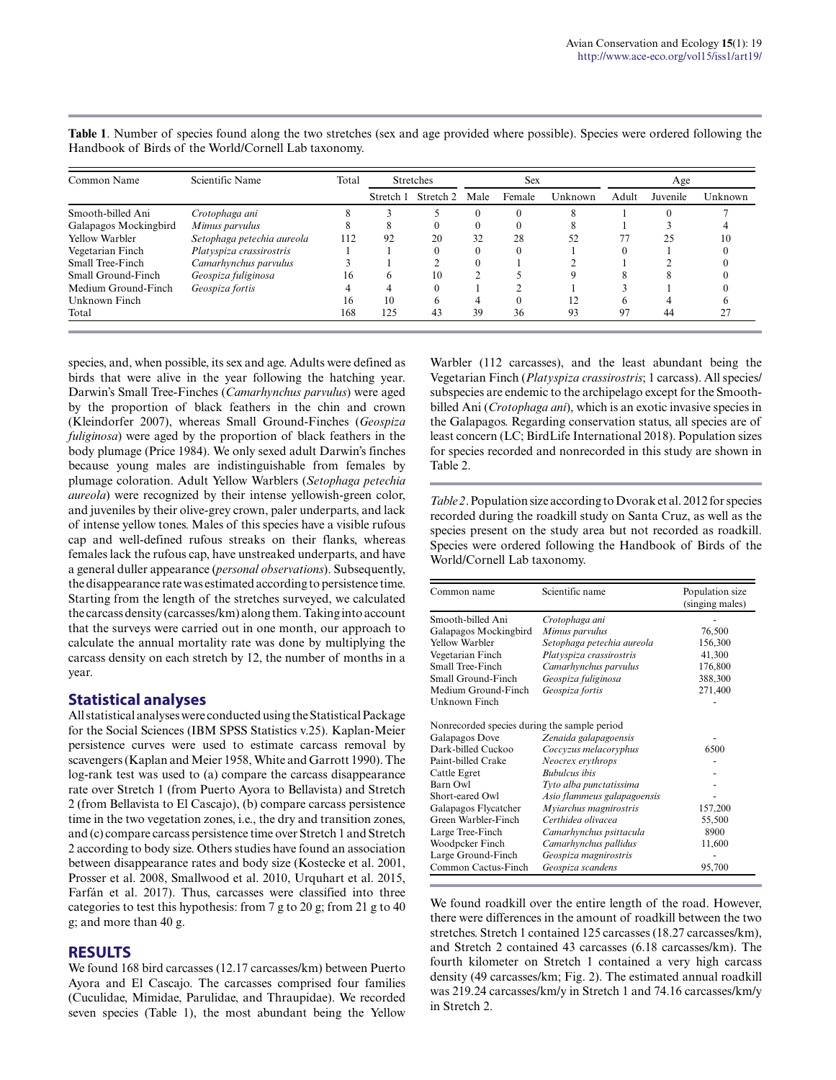| Common Name           | Scientific Name            | Total | <b>Stretches</b> |           | <b>Sex</b> |        |         | Age   |          |         |
|-----------------------|----------------------------|-------|------------------|-----------|------------|--------|---------|-------|----------|---------|
|                       |                            |       | Stretch 1        | Stretch 2 | Male       | Female | Unknown | Adult | Juvenile | Unknown |
| Smooth-billed Ani     | Crotophaga ani             |       |                  |           |            |        |         |       |          |         |
| Galapagos Mockingbird | Mimus parvulus             |       | 8                |           |            |        |         |       |          |         |
| Yellow Warbler        | Setophaga petechia aureola | 112   | 92               | 20        | 32         | 28     | 52      | 77    | 25       | 10      |
| Vegetarian Finch      | Platyspiza crassirostris   |       |                  |           |            |        |         |       |          |         |
| Small Tree-Finch      | Camarhynchus parvulus      |       |                  |           |            |        |         |       |          |         |
| Small Ground-Finch    | Geospiza fuliginosa        | 16    | h                | 10        |            |        |         |       |          |         |
| Medium Ground-Finch   | Geospiza fortis            | 4     |                  | 0         |            |        |         |       |          |         |
| Unknown Finch         |                            | 16    | 10               | 6         | 4          |        |         |       |          |         |
| Total                 |                            | 168   | 125              | 43        | 39         | 36     | 93      | 97    | 44       |         |

**Table 1**. Number of species found along the two stretches (sex and age provided where possible). Species were ordered following the Handbook of Birds of the World/Cornell Lab taxonomy.

species, and, when possible, its sex and age. Adults were defined as birds that were alive in the year following the hatching year. Darwin's Small Tree-Finches (*Camarhynchus parvulus*) were aged by the proportion of black feathers in the chin and crown (Kleindorfer 2007), whereas Small Ground-Finches (*Geospiza fuliginosa*) were aged by the proportion of black feathers in the body plumage (Price 1984). We only sexed adult Darwin's finches because young males are indistinguishable from females by plumage coloration. Adult Yellow Warblers (*Setophaga petechia aureola*) were recognized by their intense yellowish-green color, and juveniles by their olive-grey crown, paler underparts, and lack of intense yellow tones. Males of this species have a visible rufous cap and well-defined rufous streaks on their flanks, whereas females lack the rufous cap, have unstreaked underparts, and have a general duller appearance (*personal observations*). Subsequently, the disappearance rate was estimated according to persistence time. Starting from the length of the stretches surveyed, we calculated the carcass density (carcasses/km) along them. Taking into account that the surveys were carried out in one month, our approach to calculate the annual mortality rate was done by multiplying the carcass density on each stretch by 12, the number of months in a year.

#### **Statistical analyses**

All statistical analyses were conducted using the Statistical Package for the Social Sciences (IBM SPSS Statistics v.25). Kaplan-Meier persistence curves were used to estimate carcass removal by scavengers (Kaplan and Meier 1958, White and Garrott 1990). The log-rank test was used to (a) compare the carcass disappearance rate over Stretch 1 (from Puerto Ayora to Bellavista) and Stretch 2 (from Bellavista to El Cascajo), (b) compare carcass persistence time in the two vegetation zones, i.e., the dry and transition zones, and (c) compare carcass persistence time over Stretch 1 and Stretch 2 according to body size. Others studies have found an association between disappearance rates and body size (Kostecke et al. 2001, Prosser et al. 2008, Smallwood et al. 2010, Urquhart et al. 2015, Farfán et al. 2017). Thus, carcasses were classified into three categories to test this hypothesis: from 7 g to 20 g; from 21 g to 40 g; and more than 40 g.

#### **RESULTS**

We found 168 bird carcasses (12.17 carcasses/km) between Puerto Ayora and El Cascajo. The carcasses comprised four families (Cuculidae, Mimidae, Parulidae, and Thraupidae). We recorded seven species (Table 1), the most abundant being the Yellow Warbler (112 carcasses), and the least abundant being the Vegetarian Finch (*Platyspiza crassirostris*; 1 carcass). All species/ subspecies are endemic to the archipelago except for the Smoothbilled Ani (*Crotophaga ani*), which is an exotic invasive species in the Galapagos. Regarding conservation status, all species are of least concern (LC; BirdLife International 2018). Population sizes for species recorded and nonrecorded in this study are shown in Table 2.

*Table 2*. Population size according to Dvorak et al. 2012 for species recorded during the roadkill study on Santa Cruz, as well as the species present on the study area but not recorded as roadkill. Species were ordered following the Handbook of Birds of the World/Cornell Lab taxonomy.

| Common name                                  | Scientific name             | Population size<br>(singing males) |
|----------------------------------------------|-----------------------------|------------------------------------|
| Smooth-billed Ani                            | Crotophaga ani              |                                    |
| Galapagos Mockingbird                        | Mimus parvulus              | 76,500                             |
| Yellow Warbler                               | Setophaga petechia aureola  | 156,300                            |
| Vegetarian Finch                             | Platyspiza crassirostris    | 41,300                             |
| Small Tree-Finch                             | Camarhynchus parvulus       | 176,800                            |
| Small Ground-Finch                           | Geospiza fuliginosa         | 388,300                            |
| Medium Ground-Finch                          | Geospiza fortis             | 271,400                            |
| Unknown Finch                                |                             |                                    |
| Nonrecorded species during the sample period |                             |                                    |
| Galapagos Dove                               | Zenaida galapagoensis       |                                    |
| Dark-billed Cuckoo                           | Coccyzus melacoryphus       | 6500                               |
| Paint-billed Crake                           | Neocrex erythrops           |                                    |
| Cattle Egret                                 | <b>Bubulcus</b> ibis        |                                    |
| Barn Owl                                     | Tyto alba punctatissima     |                                    |
| Short-eared Owl                              | Asio flammeus galapagoensis |                                    |
| Galapagos Flycatcher                         | Myiarchus magnirostris      | 157,200                            |
| Green Warbler-Finch                          | Certhidea olivacea          | 55,500                             |
| Large Tree-Finch                             | Camarhynchus psittacula     | 8900                               |
| Woodpcker Finch                              | Camarhynchus pallidus       | 11,600                             |
| Large Ground-Finch                           | Geospiza magnirostris       |                                    |
| Common Cactus-Finch                          | Geospiza scandens           | 95,700                             |

We found roadkill over the entire length of the road. However, there were differences in the amount of roadkill between the two stretches. Stretch 1 contained 125 carcasses (18.27 carcasses/km), and Stretch 2 contained 43 carcasses (6.18 carcasses/km). The fourth kilometer on Stretch 1 contained a very high carcass density (49 carcasses/km; Fig. 2). The estimated annual roadkill was 219.24 carcasses/km/y in Stretch 1 and 74.16 carcasses/km/y in Stretch 2.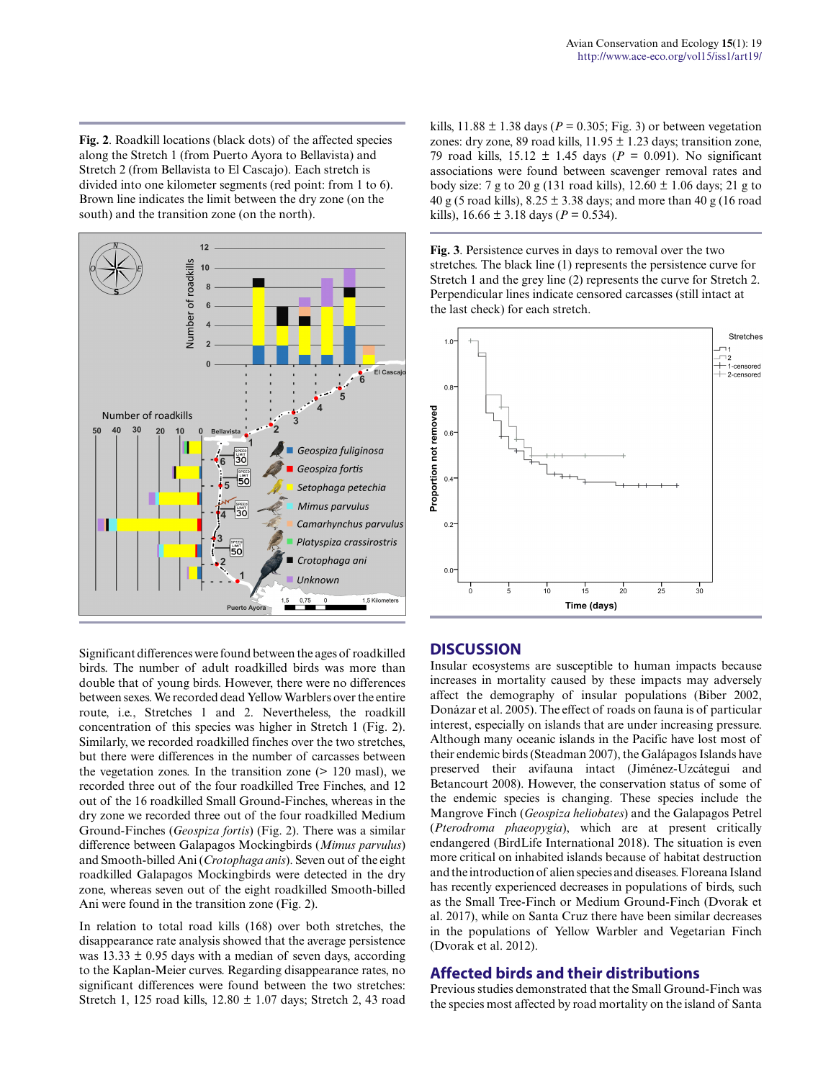**Fig. 2**. Roadkill locations (black dots) of the affected species along the Stretch 1 (from Puerto Ayora to Bellavista) and Stretch 2 (from Bellavista to El Cascajo). Each stretch is divided into one kilometer segments (red point: from 1 to 6). Brown line indicates the limit between the dry zone (on the south) and the transition zone (on the north).



Significant differences were found between the ages of roadkilled birds. The number of adult roadkilled birds was more than double that of young birds. However, there were no differences between sexes. We recorded dead Yellow Warblers over the entire route, i.e., Stretches 1 and 2. Nevertheless, the roadkill concentration of this species was higher in Stretch 1 (Fig. 2). Similarly, we recorded roadkilled finches over the two stretches, but there were differences in the number of carcasses between the vegetation zones. In the transition zone (> 120 masl), we recorded three out of the four roadkilled Tree Finches, and 12 out of the 16 roadkilled Small Ground-Finches, whereas in the dry zone we recorded three out of the four roadkilled Medium Ground-Finches (*Geospiza fortis*) (Fig. 2). There was a similar difference between Galapagos Mockingbirds (*Mimus parvulus*) and Smooth-billed Ani (*Crotophaga anis*). Seven out of the eight roadkilled Galapagos Mockingbirds were detected in the dry zone, whereas seven out of the eight roadkilled Smooth-billed Ani were found in the transition zone (Fig. 2).

In relation to total road kills (168) over both stretches, the disappearance rate analysis showed that the average persistence was  $13.33 \pm 0.95$  days with a median of seven days, according to the Kaplan-Meier curves. Regarding disappearance rates, no significant differences were found between the two stretches: Stretch 1, 125 road kills, 12.80 ± 1.07 days; Stretch 2, 43 road kills,  $11.88 \pm 1.38$  days ( $P = 0.305$ ; Fig. 3) or between vegetation zones: dry zone, 89 road kills,  $11.95 \pm 1.23$  days; transition zone, 79 road kills, 15.12 ± 1.45 days (*P* = 0.091). No significant associations were found between scavenger removal rates and body size: 7 g to 20 g (131 road kills),  $12.60 \pm 1.06$  days; 21 g to 40 g (5 road kills),  $8.25 \pm 3.38$  days; and more than 40 g (16 road kills),  $16.66 \pm 3.18$  days ( $P = 0.534$ ).

**Fig. 3**. Persistence curves in days to removal over the two stretches. The black line (1) represents the persistence curve for Stretch 1 and the grey line (2) represents the curve for Stretch 2. Perpendicular lines indicate censored carcasses (still intact at the last check) for each stretch.



#### **DISCUSSION**

Insular ecosystems are susceptible to human impacts because increases in mortality caused by these impacts may adversely affect the demography of insular populations (Biber 2002, Donázar et al. 2005). The effect of roads on fauna is of particular interest, especially on islands that are under increasing pressure. Although many oceanic islands in the Pacific have lost most of their endemic birds (Steadman 2007), the Galápagos Islands have preserved their avifauna intact (Jiménez-Uzcátegui and Betancourt 2008). However, the conservation status of some of the endemic species is changing. These species include the Mangrove Finch (*Geospiza heliobates*) and the Galapagos Petrel (*Pterodroma phaeopygia*), which are at present critically endangered (BirdLife International 2018). The situation is even more critical on inhabited islands because of habitat destruction and the introduction of alien species and diseases. Floreana Island has recently experienced decreases in populations of birds, such as the Small Tree-Finch or Medium Ground-Finch (Dvorak et al. 2017), while on Santa Cruz there have been similar decreases in the populations of Yellow Warbler and Vegetarian Finch (Dvorak et al. 2012).

### **Affected birds and their distributions**

Previous studies demonstrated that the Small Ground-Finch was the species most affected by road mortality on the island of Santa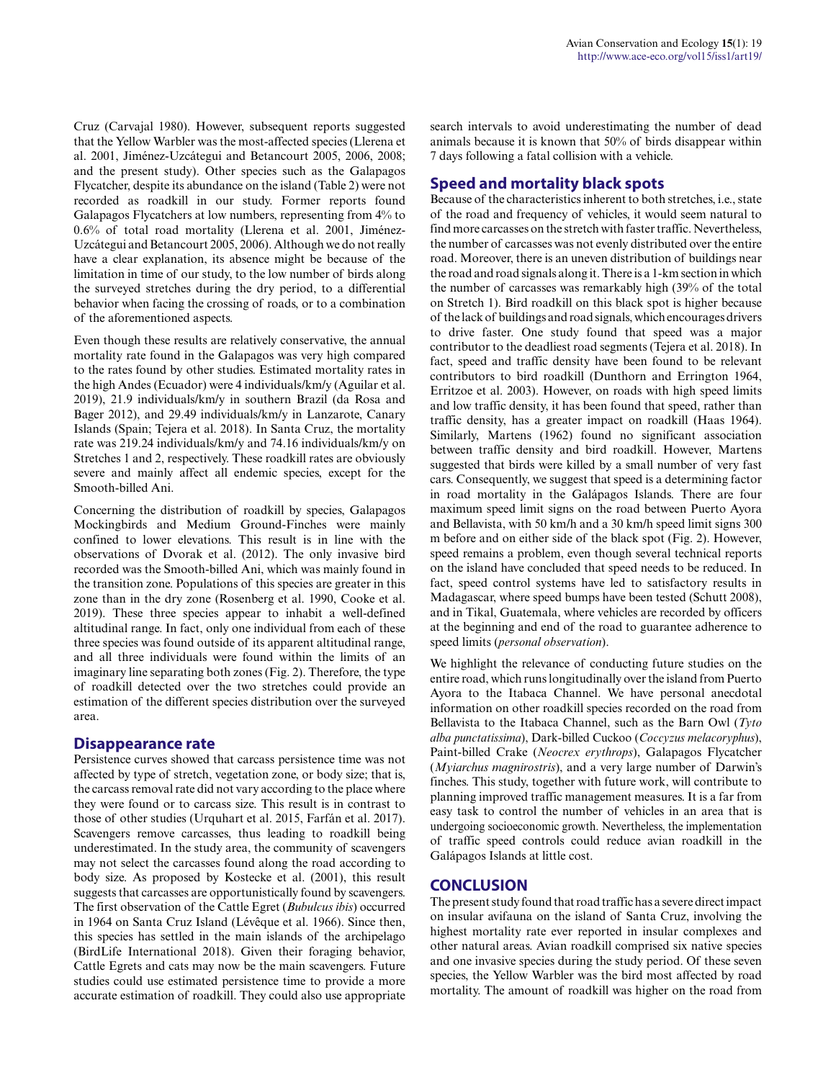Cruz (Carvajal 1980). However, subsequent reports suggested that the Yellow Warbler was the most-affected species (Llerena et al. 2001, Jiménez-Uzcátegui and Betancourt 2005, 2006, 2008; and the present study). Other species such as the Galapagos Flycatcher, despite its abundance on the island (Table 2) were not recorded as roadkill in our study. Former reports found Galapagos Flycatchers at low numbers, representing from 4% to 0.6% of total road mortality (Llerena et al. 2001, Jiménez-Uzcátegui and Betancourt 2005, 2006). Although we do not really have a clear explanation, its absence might be because of the limitation in time of our study, to the low number of birds along the surveyed stretches during the dry period, to a differential behavior when facing the crossing of roads, or to a combination of the aforementioned aspects.

Even though these results are relatively conservative, the annual mortality rate found in the Galapagos was very high compared to the rates found by other studies. Estimated mortality rates in the high Andes (Ecuador) were 4 individuals/km/y (Aguilar et al. 2019), 21.9 individuals/km/y in southern Brazil (da Rosa and Bager 2012), and 29.49 individuals/km/y in Lanzarote, Canary Islands (Spain; Tejera et al. 2018). In Santa Cruz, the mortality rate was 219.24 individuals/km/y and 74.16 individuals/km/y on Stretches 1 and 2, respectively. These roadkill rates are obviously severe and mainly affect all endemic species, except for the Smooth-billed Ani.

Concerning the distribution of roadkill by species, Galapagos Mockingbirds and Medium Ground-Finches were mainly confined to lower elevations. This result is in line with the observations of Dvorak et al. (2012). The only invasive bird recorded was the Smooth-billed Ani, which was mainly found in the transition zone. Populations of this species are greater in this zone than in the dry zone (Rosenberg et al. 1990, Cooke et al. 2019). These three species appear to inhabit a well-defined altitudinal range. In fact, only one individual from each of these three species was found outside of its apparent altitudinal range, and all three individuals were found within the limits of an imaginary line separating both zones (Fig. 2). Therefore, the type of roadkill detected over the two stretches could provide an estimation of the different species distribution over the surveyed area.

#### **Disappearance rate**

Persistence curves showed that carcass persistence time was not affected by type of stretch, vegetation zone, or body size; that is, the carcass removal rate did not vary according to the place where they were found or to carcass size. This result is in contrast to those of other studies (Urquhart et al. 2015, Farfán et al. 2017). Scavengers remove carcasses, thus leading to roadkill being underestimated. In the study area, the community of scavengers may not select the carcasses found along the road according to body size. As proposed by Kostecke et al. (2001), this result suggests that carcasses are opportunistically found by scavengers. The first observation of the Cattle Egret (*Bubulcus ibis*) occurred in 1964 on Santa Cruz Island (Lévêque et al. 1966). Since then, this species has settled in the main islands of the archipelago (BirdLife International 2018). Given their foraging behavior, Cattle Egrets and cats may now be the main scavengers. Future studies could use estimated persistence time to provide a more accurate estimation of roadkill. They could also use appropriate search intervals to avoid underestimating the number of dead animals because it is known that 50% of birds disappear within 7 days following a fatal collision with a vehicle.

## **Speed and mortality black spots**

Because of the characteristics inherent to both stretches, i.e., state of the road and frequency of vehicles, it would seem natural to find more carcasses on the stretch with faster traffic. Nevertheless, the number of carcasses was not evenly distributed over the entire road. Moreover, there is an uneven distribution of buildings near the road and road signals along it. There is a 1-km section in which the number of carcasses was remarkably high (39% of the total on Stretch 1). Bird roadkill on this black spot is higher because of the lack of buildings and road signals, which encourages drivers to drive faster. One study found that speed was a major contributor to the deadliest road segments (Tejera et al. 2018). In fact, speed and traffic density have been found to be relevant contributors to bird roadkill (Dunthorn and Errington 1964, Erritzoe et al. 2003). However, on roads with high speed limits and low traffic density, it has been found that speed, rather than traffic density, has a greater impact on roadkill (Haas 1964). Similarly, Martens (1962) found no significant association between traffic density and bird roadkill. However, Martens suggested that birds were killed by a small number of very fast cars. Consequently, we suggest that speed is a determining factor in road mortality in the Galápagos Islands. There are four maximum speed limit signs on the road between Puerto Ayora and Bellavista, with 50 km/h and a 30 km/h speed limit signs 300 m before and on either side of the black spot (Fig. 2). However, speed remains a problem, even though several technical reports on the island have concluded that speed needs to be reduced. In fact, speed control systems have led to satisfactory results in Madagascar, where speed bumps have been tested (Schutt 2008), and in Tikal, Guatemala, where vehicles are recorded by officers at the beginning and end of the road to guarantee adherence to speed limits (*personal observation*).

We highlight the relevance of conducting future studies on the entire road, which runs longitudinally over the island from Puerto Ayora to the Itabaca Channel. We have personal anecdotal information on other roadkill species recorded on the road from Bellavista to the Itabaca Channel, such as the Barn Owl (*Tyto alba punctatissima*), Dark-billed Cuckoo (*Coccyzus melacoryphus*), Paint-billed Crake (*Neocrex erythrops*), Galapagos Flycatcher (*Myiarchus magnirostris*), and a very large number of Darwin's finches. This study, together with future work, will contribute to planning improved traffic management measures. It is a far from easy task to control the number of vehicles in an area that is undergoing socioeconomic growth. Nevertheless, the implementation of traffic speed controls could reduce avian roadkill in the Galápagos Islands at little cost.

## **CONCLUSION**

The present study found that road traffic has a severe direct impact on insular avifauna on the island of Santa Cruz, involving the highest mortality rate ever reported in insular complexes and other natural areas. Avian roadkill comprised six native species and one invasive species during the study period. Of these seven species, the Yellow Warbler was the bird most affected by road mortality. The amount of roadkill was higher on the road from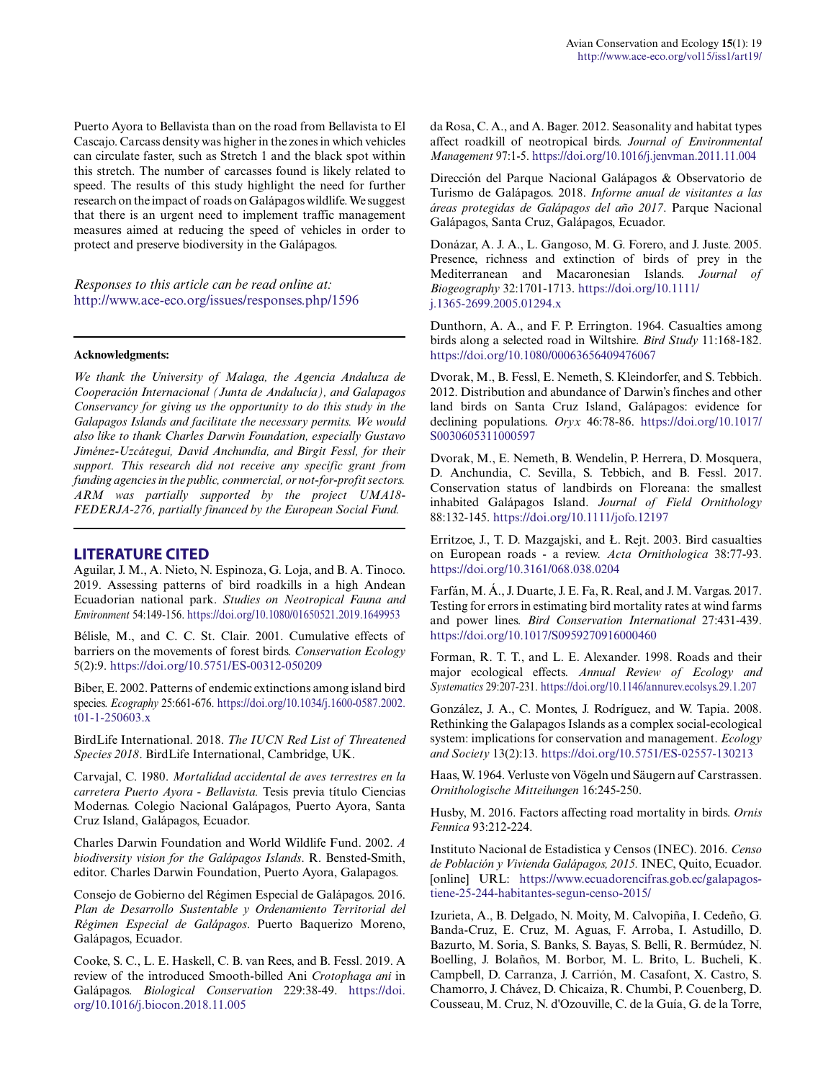Puerto Ayora to Bellavista than on the road from Bellavista to El Cascajo. Carcass density was higher in the zones in which vehicles can circulate faster, such as Stretch 1 and the black spot within this stretch. The number of carcasses found is likely related to speed. The results of this study highlight the need for further research on the impact of roads on Galápagos wildlife. We suggest that there is an urgent need to implement traffic management measures aimed at reducing the speed of vehicles in order to protect and preserve biodiversity in the Galápagos.

*Responses to this article can be read online at:* <http://www.ace-eco.org/issues/responses.php/1596>

#### **Acknowledgments:**

*We thank the University of Malaga, the Agencia Andaluza de Cooperación Internacional (Junta de Andalucía), and Galapagos Conservancy for giving us the opportunity to do this study in the Galapagos Islands and facilitate the necessary permits. We would also like to thank Charles Darwin Foundation, especially Gustavo Jiménez-Uzcátegui, David Anchundia, and Birgit Fessl, for their support. This research did not receive any specific grant from funding agencies in the public, commercial, or not-for-profit sectors. ARM was partially supported by the project UMA18- FEDERJA-276, partially financed by the European Social Fund.*

#### **LITERATURE CITED**

Aguilar, J. M., A. Nieto, N. Espinoza, G. Loja, and B. A. Tinoco. 2019. Assessing patterns of bird roadkills in a high Andean Ecuadorian national park. *Studies on Neotropical Fauna and Environment* 54:149-156.<https://doi.org/10.1080/01650521.2019.1649953>

Bélisle, M., and C. C. St. Clair. 2001. Cumulative effects of barriers on the movements of forest birds. *Conservation Ecology* 5(2):9. <https://doi.org/10.5751/ES-00312-050209>

Biber, E. 2002. Patterns of endemic extinctions among island bird species. *Ecography* 25:661-676. [https://doi.org/10.1034/j.1600-0587.2002.](https://doi.org/10.1034/j.1600-0587.2002.t01-1-250603.x) [t01-1-250603.x](https://doi.org/10.1034/j.1600-0587.2002.t01-1-250603.x)

BirdLife International. 2018. *The IUCN Red List of Threatened Species 2018*. BirdLife International, Cambridge, UK.

Carvajal, C. 1980. *Mortalidad accidental de aves terrestres en la carretera Puerto Ayora - Bellavista.* Tesis previa título Ciencias Modernas. Colegio Nacional Galápagos, Puerto Ayora, Santa Cruz Island, Galápagos, Ecuador.

Charles Darwin Foundation and World Wildlife Fund. 2002. *A biodiversity vision for the Galápagos Islands*. R. Bensted-Smith, editor. Charles Darwin Foundation, Puerto Ayora, Galapagos.

Consejo de Gobierno del Régimen Especial de Galápagos. 2016. *Plan de Desarrollo Sustentable y Ordenamiento Territorial del Régimen Especial de Galápagos*. Puerto Baquerizo Moreno, Galápagos, Ecuador.

Cooke, S. C., L. E. Haskell, C. B. van Rees, and B. Fessl. 2019. A review of the introduced Smooth-billed Ani *Crotophaga ani* in Galápagos. *Biological Conservation* 229:38-49. [https://doi.](https://doi.org/10.1016/j.biocon.2018.11.005) [org/10.1016/j.biocon.2018.11.005](https://doi.org/10.1016/j.biocon.2018.11.005)

da Rosa, C. A., and A. Bager. 2012. Seasonality and habitat types affect roadkill of neotropical birds. *Journal of Environmental Management* 97:1-5. <https://doi.org/10.1016/j.jenvman.2011.11.004>

Dirección del Parque Nacional Galápagos & Observatorio de Turismo de Galápagos. 2018. *Informe anual de visitantes a las áreas protegidas de Galápagos del año 2017*. Parque Nacional Galápagos, Santa Cruz, Galápagos, Ecuador.

Donázar, A. J. A., L. Gangoso, M. G. Forero, and J. Juste. 2005. Presence, richness and extinction of birds of prey in the Mediterranean and Macaronesian Islands. *Journal of Biogeography* 32:1701-1713. [https://doi.org/10.1111/](https://doi.org/10.1111/j.1365-2699.2005.01294.x) [j.1365-2699.2005.01294.x](https://doi.org/10.1111/j.1365-2699.2005.01294.x)

Dunthorn, A. A., and F. P. Errington. 1964. Casualties among birds along a selected road in Wiltshire. *Bird Study* 11:168-182. <https://doi.org/10.1080/00063656409476067>

Dvorak, M., B. Fessl, E. Nemeth, S. Kleindorfer, and S. Tebbich. 2012. Distribution and abundance of Darwin's finches and other land birds on Santa Cruz Island, Galápagos: evidence for declining populations. *Oryx* 46:78-86. [https://doi.org/10.1017/](https://doi.org/10.1017/S0030605311000597) [S0030605311000597](https://doi.org/10.1017/S0030605311000597) 

Dvorak, M., E. Nemeth, B. Wendelin, P. Herrera, D. Mosquera, D. Anchundia, C. Sevilla, S. Tebbich, and B. Fessl. 2017. Conservation status of landbirds on Floreana: the smallest inhabited Galápagos Island. *Journal of Field Ornithology* 88:132-145.<https://doi.org/10.1111/jofo.12197>

Erritzoe, J., T. D. Mazgajski, and Ł. Rejt. 2003. Bird casualties on European roads - a review. *Acta Ornithologica* 38:77-93. <https://doi.org/10.3161/068.038.0204>

Farfán, M. Á., J. Duarte, J. E. Fa, R. Real, and J. M. Vargas. 2017. Testing for errors in estimating bird mortality rates at wind farms and power lines. *Bird Conservation International* 27:431-439. <https://doi.org/10.1017/S0959270916000460>

Forman, R. T. T., and L. E. Alexander. 1998. Roads and their major ecological effects. *Annual Review of Ecology and Systematics* 29:207-231. <https://doi.org/10.1146/annurev.ecolsys.29.1.207>

González, J. A., C. Montes, J. Rodríguez, and W. Tapia. 2008. Rethinking the Galapagos Islands as a complex social-ecological system: implications for conservation and management. *Ecology and Society* 13(2):13.<https://doi.org/10.5751/ES-02557-130213>

Haas, W. 1964. Verluste von Vögeln und Säugern auf Carstrassen. *Ornithologische Mitteilungen* 16:245-250.

Husby, M. 2016. Factors affecting road mortality in birds. *Ornis Fennica* 93:212-224.

Instituto Nacional de Estadistica y Censos (INEC). 2016. *Censo de Población y Vivienda Galápagos, 2015.* INEC, Quito, Ecuador. [online] URL: [https://www.ecuadorencifras.gob.ec/galapagos](https://www.ecuadorencifras.gob.ec/galapagos-tiene-25-244-habitantes-segun-censo-2015/ )[tiene-25-244-habitantes-segun-censo-2015/](https://www.ecuadorencifras.gob.ec/galapagos-tiene-25-244-habitantes-segun-censo-2015/ ) 

Izurieta, A., B. Delgado, N. Moity, M. Calvopiña, I. Cedeño, G. Banda-Cruz, E. Cruz, M. Aguas, F. Arroba, I. Astudillo, D. Bazurto, M. Soria, S. Banks, S. Bayas, S. Belli, R. Bermúdez, N. Boelling, J. Bolaños, M. Borbor, M. L. Brito, L. Bucheli, K. Campbell, D. Carranza, J. Carrión, M. Casafont, X. Castro, S. Chamorro, J. Chávez, D. Chicaiza, R. Chumbi, P. Couenberg, D. Cousseau, M. Cruz, N. d'Ozouville, C. de la Guía, G. de la Torre,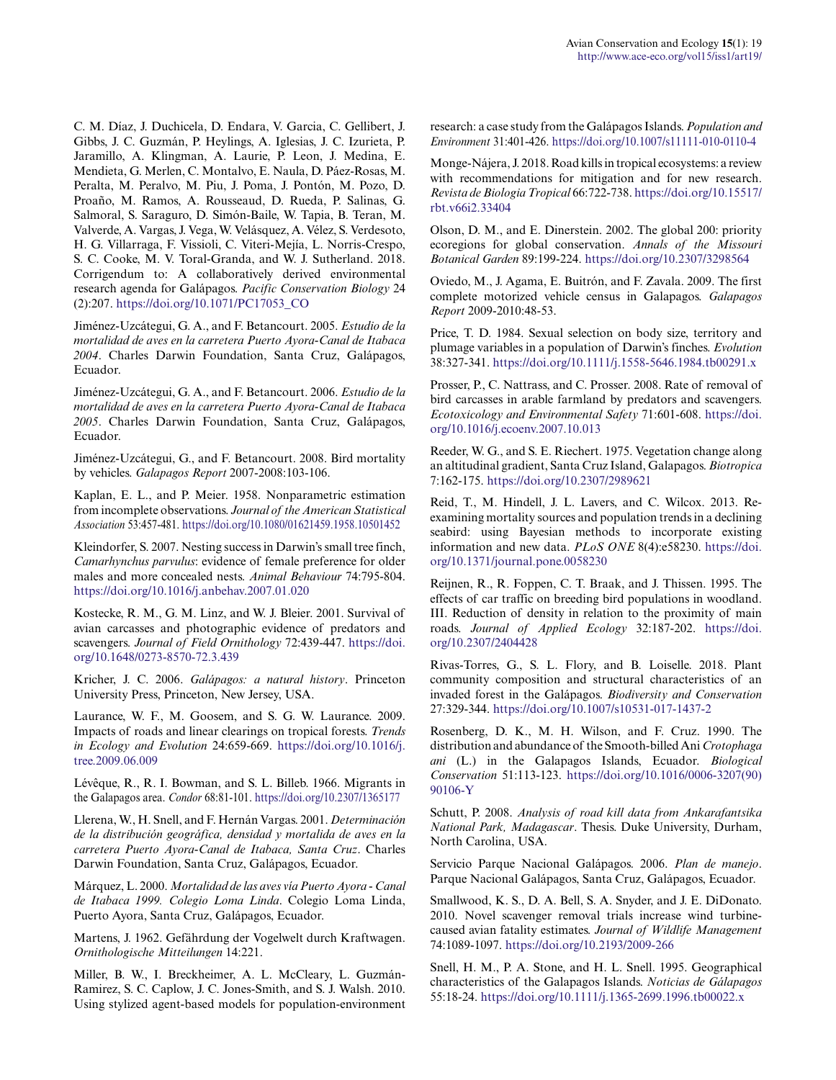C. M. Díaz, J. Duchicela, D. Endara, V. Garcia, C. Gellibert, J. Gibbs, J. C. Guzmán, P. Heylings, A. Iglesias, J. C. Izurieta, P. Jaramillo, A. Klingman, A. Laurie, P. Leon, J. Medina, E. Mendieta, G. Merlen, C. Montalvo, E. Naula, D. Páez-Rosas, M. Peralta, M. Peralvo, M. Piu, J. Poma, J. Pontón, M. Pozo, D. Proaño, M. Ramos, A. Rousseaud, D. Rueda, P. Salinas, G. Salmoral, S. Saraguro, D. Simón-Baile, W. Tapia, B. Teran, M. Valverde, A. Vargas, J. Vega, W. Velásquez, A. Vélez, S. Verdesoto, H. G. Villarraga, F. Vissioli, C. Viteri-Mejía, L. Norris-Crespo, S. C. Cooke, M. V. Toral-Granda, and W. J. Sutherland. 2018. Corrigendum to: A collaboratively derived environmental research agenda for Galápagos. *Pacific Conservation Biology* 24 (2):207. [https://doi.org/10.1071/PC17053\\_CO](https://doi.org/10.1071/PC17053_CO)

Jiménez-Uzcátegui, G. A., and F. Betancourt. 2005. *Estudio de la mortalidad de aves en la carretera Puerto Ayora-Canal de Itabaca 2004*. Charles Darwin Foundation, Santa Cruz, Galápagos, Ecuador.

Jiménez-Uzcátegui, G. A., and F. Betancourt. 2006. *Estudio de la mortalidad de aves en la carretera Puerto Ayora-Canal de Itabaca 2005*. Charles Darwin Foundation, Santa Cruz, Galápagos, Ecuador.

Jiménez-Uzcátegui, G., and F. Betancourt. 2008. Bird mortality by vehicles. *Galapagos Report* 2007-2008:103-106.

Kaplan, E. L., and P. Meier. 1958. Nonparametric estimation from incomplete observations. *Journal of the American Statistical Association* 53:457-481. <https://doi.org/10.1080/01621459.1958.10501452>

Kleindorfer, S. 2007. Nesting success in Darwin's small tree finch, *Camarhynchus parvulus*: evidence of female preference for older males and more concealed nests. *Animal Behaviour* 74:795-804. <https://doi.org/10.1016/j.anbehav.2007.01.020>

Kostecke, R. M., G. M. Linz, and W. J. Bleier. 2001. Survival of avian carcasses and photographic evidence of predators and scavengers. *Journal of Field Ornithology* 72:439-447. [https://doi.](https://doi.org/10.1648/0273-8570-72.3.439) [org/10.1648/0273-8570-72.3.439](https://doi.org/10.1648/0273-8570-72.3.439)

Kricher, J. C. 2006. *Galápagos: a natural history*. Princeton University Press, Princeton, New Jersey, USA.

Laurance, W. F., M. Goosem, and S. G. W. Laurance. 2009. Impacts of roads and linear clearings on tropical forests. *Trends in Ecology and Evolution* 24:659-669. [https://doi.org/10.1016/j.](https://doi.org/10.1016/j.tree.2009.06.009) [tree.2009.06.009](https://doi.org/10.1016/j.tree.2009.06.009) 

Lévêque, R., R. I. Bowman, and S. L. Billeb. 1966. Migrants in the Galapagos area. *Condor* 68:81-101. <https://doi.org/10.2307/1365177>

Llerena, W., H. Snell, and F. Hernán Vargas. 2001. *Determinación de la distribución geográfica, densidad y mortalida de aves en la carretera Puerto Ayora-Canal de Itabaca, Santa Cruz*. Charles Darwin Foundation, Santa Cruz, Galápagos, Ecuador.

Márquez, L. 2000. *Mortalidad de las aves vía Puerto Ayora - Canal de Itabaca 1999. Colegio Loma Linda*. Colegio Loma Linda, Puerto Ayora, Santa Cruz, Galápagos, Ecuador.

Martens, J. 1962. Gefährdung der Vogelwelt durch Kraftwagen. *Ornithologische Mitteilungen* 14:221.

Miller, B. W., I. Breckheimer, A. L. McCleary, L. Guzmán-Ramirez, S. C. Caplow, J. C. Jones-Smith, and S. J. Walsh. 2010. Using stylized agent-based models for population-environment research: a case study from the Galápagos Islands. *Population and Environment* 31:401-426.<https://doi.org/10.1007/s11111-010-0110-4>

Monge-Nájera, J. 2018. Road kills in tropical ecosystems: a review with recommendations for mitigation and for new research. *Revista de Biologia Tropical* 66:722-738. [https://doi.org/10.15517/](https://doi.org/10.15517/rbt.v66i2.33404) [rbt.v66i2.33404](https://doi.org/10.15517/rbt.v66i2.33404)

Olson, D. M., and E. Dinerstein. 2002. The global 200: priority ecoregions for global conservation. *Annals of the Missouri Botanical Garden* 89:199-224.<https://doi.org/10.2307/3298564>

Oviedo, M., J. Agama, E. Buitrón, and F. Zavala. 2009. The first complete motorized vehicle census in Galapagos. *Galapagos Report* 2009-2010:48-53.

Price, T. D. 1984. Sexual selection on body size, territory and plumage variables in a population of Darwin's finches. *Evolution* 38:327-341.<https://doi.org/10.1111/j.1558-5646.1984.tb00291.x>

Prosser, P., C. Nattrass, and C. Prosser. 2008. Rate of removal of bird carcasses in arable farmland by predators and scavengers. *Ecotoxicology and Environmental Safety* 71:601-608. [https://doi.](https://doi.org/10.1016/j.ecoenv.2007.10.013) [org/10.1016/j.ecoenv.2007.10.013](https://doi.org/10.1016/j.ecoenv.2007.10.013)

Reeder, W. G., and S. E. Riechert. 1975. Vegetation change along an altitudinal gradient, Santa Cruz Island, Galapagos. *Biotropica* 7:162-175. <https://doi.org/10.2307/2989621>

Reid, T., M. Hindell, J. L. Lavers, and C. Wilcox. 2013. Reexamining mortality sources and population trends in a declining seabird: using Bayesian methods to incorporate existing information and new data. *PLoS ONE* 8(4):e58230. [https://doi.](https://doi.org/10.1371/journal.pone.0058230) [org/10.1371/journal.pone.0058230](https://doi.org/10.1371/journal.pone.0058230) 

Reijnen, R., R. Foppen, C. T. Braak, and J. Thissen. 1995. The effects of car traffic on breeding bird populations in woodland. III. Reduction of density in relation to the proximity of main roads. *Journal of Applied Ecology* 32:187-202. [https://doi.](https://doi.org/10.2307/2404428) [org/10.2307/2404428](https://doi.org/10.2307/2404428) 

Rivas-Torres, G., S. L. Flory, and B. Loiselle. 2018. Plant community composition and structural characteristics of an invaded forest in the Galápagos. *Biodiversity and Conservation* 27:329-344.<https://doi.org/10.1007/s10531-017-1437-2>

Rosenberg, D. K., M. H. Wilson, and F. Cruz. 1990. The distribution and abundance of the Smooth-billed Ani *Crotophaga ani* (L.) in the Galapagos Islands, Ecuador. *Biological Conservation* 51:113-123. [https://doi.org/10.1016/0006-3207\(90\)](https://doi.org/10.1016/0006-3207(90)90106-Y) [90106-Y](https://doi.org/10.1016/0006-3207(90)90106-Y)

Schutt, P. 2008. *Analysis of road kill data from Ankarafantsika National Park, Madagascar*. Thesis. Duke University, Durham, North Carolina, USA.

Servicio Parque Nacional Galápagos. 2006. *Plan de manejo*. Parque Nacional Galápagos, Santa Cruz, Galápagos, Ecuador.

Smallwood, K. S., D. A. Bell, S. A. Snyder, and J. E. DiDonato. 2010. Novel scavenger removal trials increase wind turbinecaused avian fatality estimates. *Journal of Wildlife Management* 74:1089-1097.<https://doi.org/10.2193/2009-266>

Snell, H. M., P. A. Stone, and H. L. Snell. 1995. Geographical characteristics of the Galapagos Islands. *Noticias de Gálapagos* 55:18-24.<https://doi.org/10.1111/j.1365-2699.1996.tb00022.x>